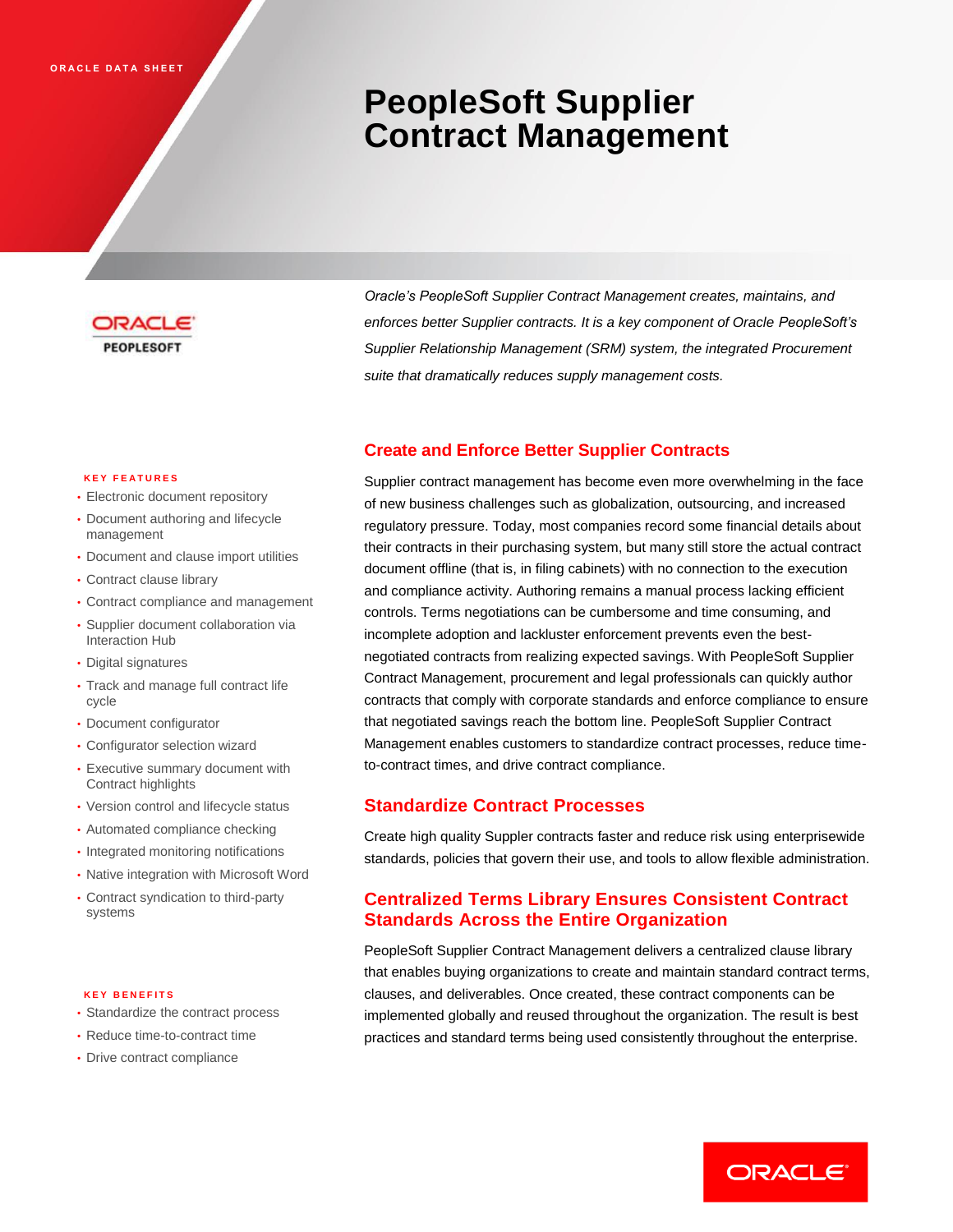# **PeopleSoft Supplier Contract Management**



*Oracle's PeopleSoft Supplier Contract Management creates, maintains, and enforces better Supplier contracts. It is a key component of Oracle PeopleSoft's Supplier Relationship Management (SRM) system, the integrated Procurement suite that dramatically reduces supply management costs.*

## **Create and Enforce Better Supplier Contracts**

Supplier contract management has become even more overwhelming in the face of new business challenges such as globalization, outsourcing, and increased regulatory pressure. Today, most companies record some financial details about their contracts in their purchasing system, but many still store the actual contract document offline (that is, in filing cabinets) with no connection to the execution and compliance activity. Authoring remains a manual process lacking efficient controls. Terms negotiations can be cumbersome and time consuming, and incomplete adoption and lackluster enforcement prevents even the bestnegotiated contracts from realizing expected savings. With PeopleSoft Supplier Contract Management, procurement and legal professionals can quickly author contracts that comply with corporate standards and enforce compliance to ensure that negotiated savings reach the bottom line. PeopleSoft Supplier Contract Management enables customers to standardize contract processes, reduce timeto-contract times, and drive contract compliance.

## **Standardize Contract Processes**

Create high quality Suppler contracts faster and reduce risk using enterprisewide standards, policies that govern their use, and tools to allow flexible administration.

# **Centralized Terms Library Ensures Consistent Contract Standards Across the Entire Organization**

PeopleSoft Supplier Contract Management delivers a centralized clause library that enables buying organizations to create and maintain standard contract terms, clauses, and deliverables. Once created, these contract components can be implemented globally and reused throughout the organization. The result is best practices and standard terms being used consistently throughout the enterprise.

#### **K E Y F E A T U R E S**

- Electronic document repository
- Document authoring and lifecycle management
- Document and clause import utilities
- Contract clause library
- Contract compliance and management
- Supplier document collaboration via Interaction Hub
- Digital signatures
- Track and manage full contract life cycle
- Document configurator
- Configurator selection wizard
- Executive summary document with Contract highlights
- Version control and lifecycle status
- Automated compliance checking
- Integrated monitoring notifications
- Native integration with Microsoft Word
- Contract syndication to third-party systems

#### **K E Y B E N E F I T S**

- Standardize the contract process
- Reduce time-to-contract time
- Drive contract compliance

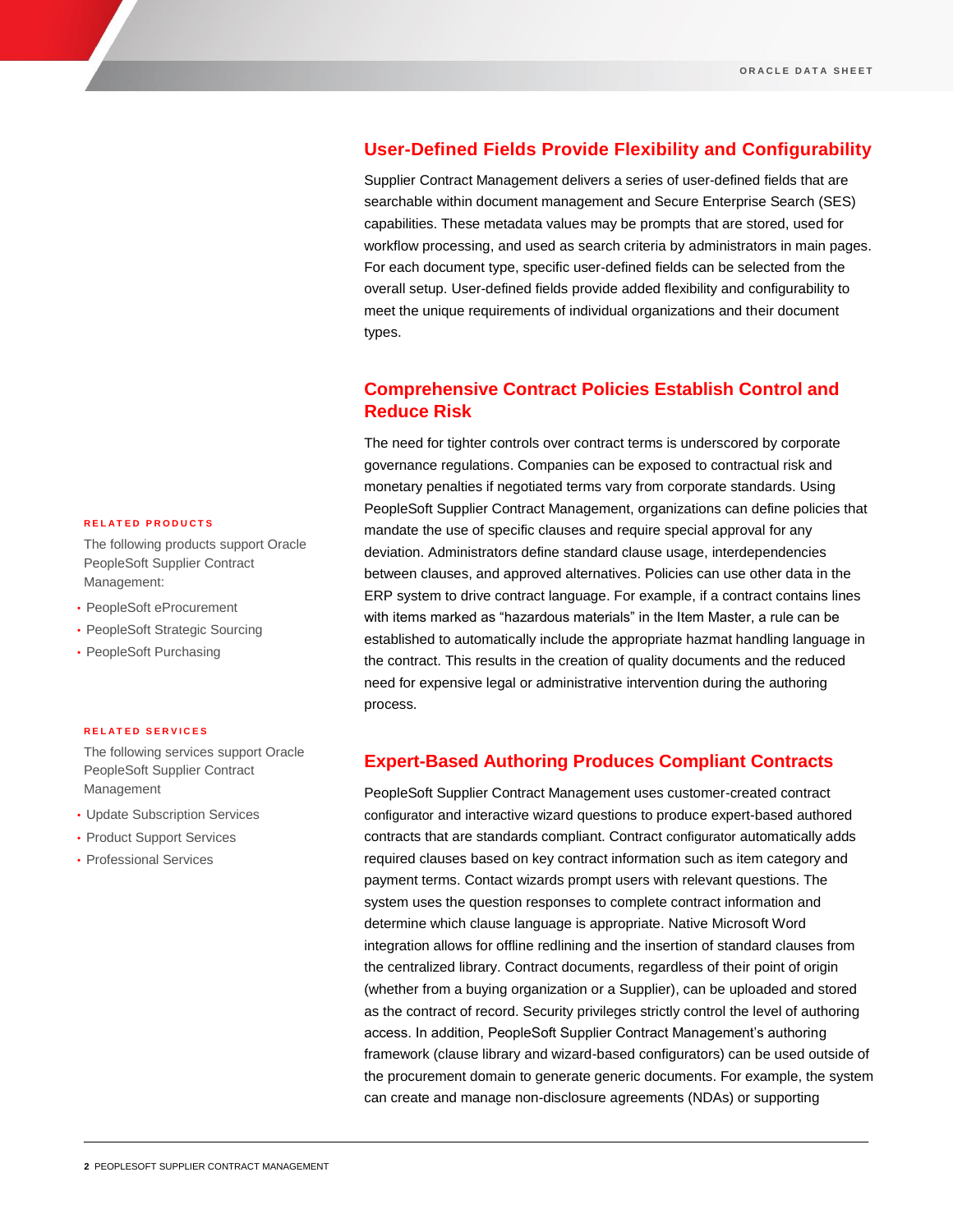#### **User-Defined Fields Provide Flexibility and Configurability**

Supplier Contract Management delivers a series of user-defined fields that are searchable within document management and Secure Enterprise Search (SES) capabilities. These metadata values may be prompts that are stored, used for workflow processing, and used as search criteria by administrators in main pages. For each document type, specific user-defined fields can be selected from the overall setup. User-defined fields provide added flexibility and configurability to meet the unique requirements of individual organizations and their document types.

# **Comprehensive Contract Policies Establish Control and Reduce Risk**

The need for tighter controls over contract terms is underscored by corporate governance regulations. Companies can be exposed to contractual risk and monetary penalties if negotiated terms vary from corporate standards. Using PeopleSoft Supplier Contract Management, organizations can define policies that mandate the use of specific clauses and require special approval for any deviation. Administrators define standard clause usage, interdependencies between clauses, and approved alternatives. Policies can use other data in the ERP system to drive contract language. For example, if a contract contains lines with items marked as "hazardous materials" in the Item Master, a rule can be established to automatically include the appropriate hazmat handling language in the contract. This results in the creation of quality documents and the reduced need for expensive legal or administrative intervention during the authoring process.

### **Expert-Based Authoring Produces Compliant Contracts**

PeopleSoft Supplier Contract Management uses customer-created contract configurator and interactive wizard questions to produce expert-based authored contracts that are standards compliant. Contract configurator automatically adds required clauses based on key contract information such as item category and payment terms. Contact wizards prompt users with relevant questions. The system uses the question responses to complete contract information and determine which clause language is appropriate. Native Microsoft Word integration allows for offline redlining and the insertion of standard clauses from the centralized library. Contract documents, regardless of their point of origin (whether from a buying organization or a Supplier), can be uploaded and stored as the contract of record. Security privileges strictly control the level of authoring access. In addition, PeopleSoft Supplier Contract Management's authoring framework (clause library and wizard-based configurators) can be used outside of the procurement domain to generate generic documents. For example, the system can create and manage non-disclosure agreements (NDAs) or supporting

#### **R E L A T E D P R O D U C T S**

The following products support Oracle PeopleSoft Supplier Contract Management:

- PeopleSoft eProcurement
- PeopleSoft Strategic Sourcing
- PeopleSoft Purchasing

#### **R E L A T E D S E R V I C E S**

The following services support Oracle PeopleSoft Supplier Contract Management

- Update Subscription Services
- Product Support Services
- Professional Services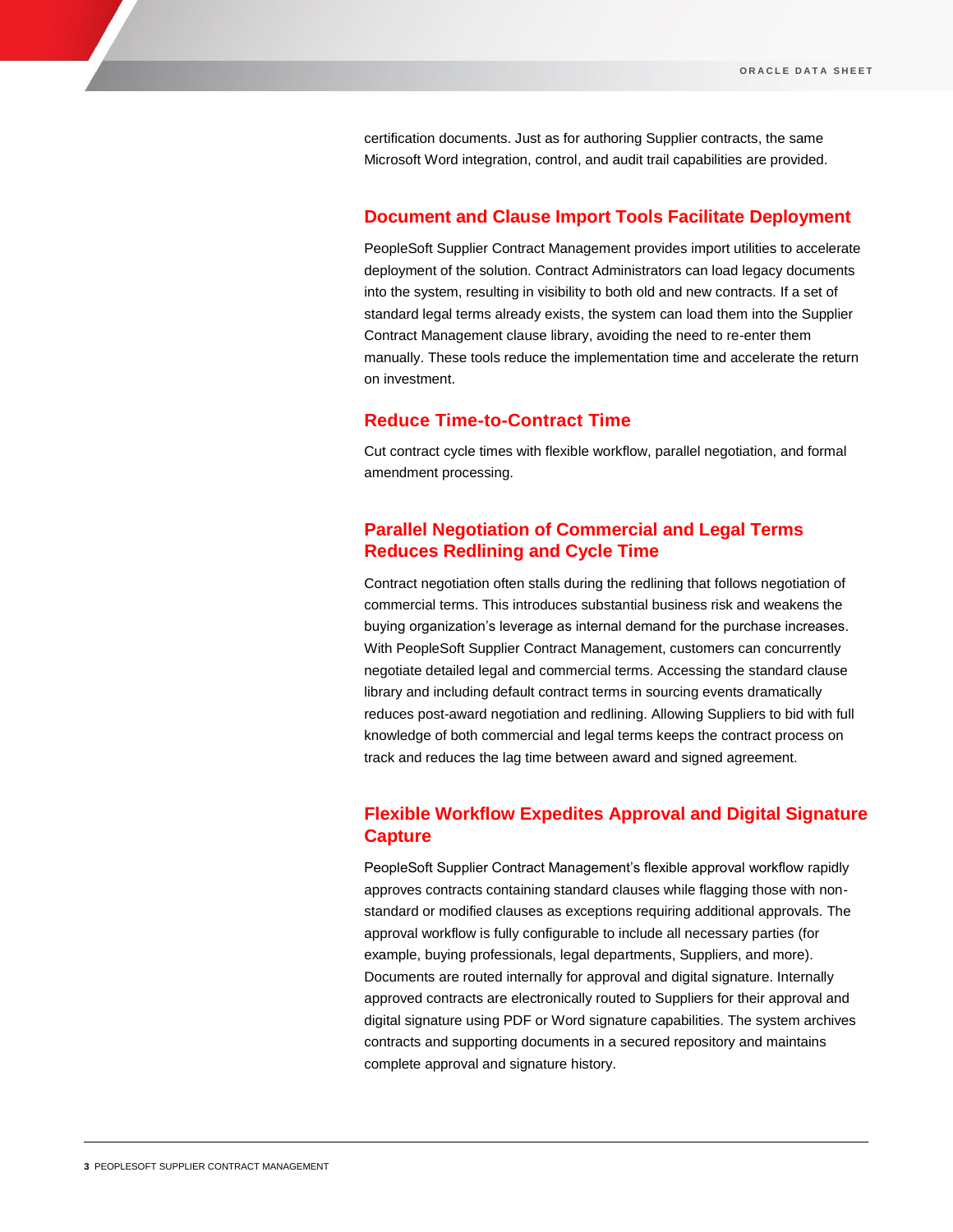certification documents. Just as for authoring Supplier contracts, the same Microsoft Word integration, control, and audit trail capabilities are provided.

#### **Document and Clause Import Tools Facilitate Deployment**

PeopleSoft Supplier Contract Management provides import utilities to accelerate deployment of the solution. Contract Administrators can load legacy documents into the system, resulting in visibility to both old and new contracts. If a set of standard legal terms already exists, the system can load them into the Supplier Contract Management clause library, avoiding the need to re-enter them manually. These tools reduce the implementation time and accelerate the return on investment.

#### **Reduce Time-to-Contract Time**

Cut contract cycle times with flexible workflow, parallel negotiation, and formal amendment processing.

# **Parallel Negotiation of Commercial and Legal Terms Reduces Redlining and Cycle Time**

Contract negotiation often stalls during the redlining that follows negotiation of commercial terms. This introduces substantial business risk and weakens the buying organization's leverage as internal demand for the purchase increases. With PeopleSoft Supplier Contract Management, customers can concurrently negotiate detailed legal and commercial terms. Accessing the standard clause library and including default contract terms in sourcing events dramatically reduces post-award negotiation and redlining. Allowing Suppliers to bid with full knowledge of both commercial and legal terms keeps the contract process on track and reduces the lag time between award and signed agreement.

# **Flexible Workflow Expedites Approval and Digital Signature Capture**

PeopleSoft Supplier Contract Management's flexible approval workflow rapidly approves contracts containing standard clauses while flagging those with nonstandard or modified clauses as exceptions requiring additional approvals. The approval workflow is fully configurable to include all necessary parties (for example, buying professionals, legal departments, Suppliers, and more). Documents are routed internally for approval and digital signature. Internally approved contracts are electronically routed to Suppliers for their approval and digital signature using PDF or Word signature capabilities. The system archives contracts and supporting documents in a secured repository and maintains complete approval and signature history.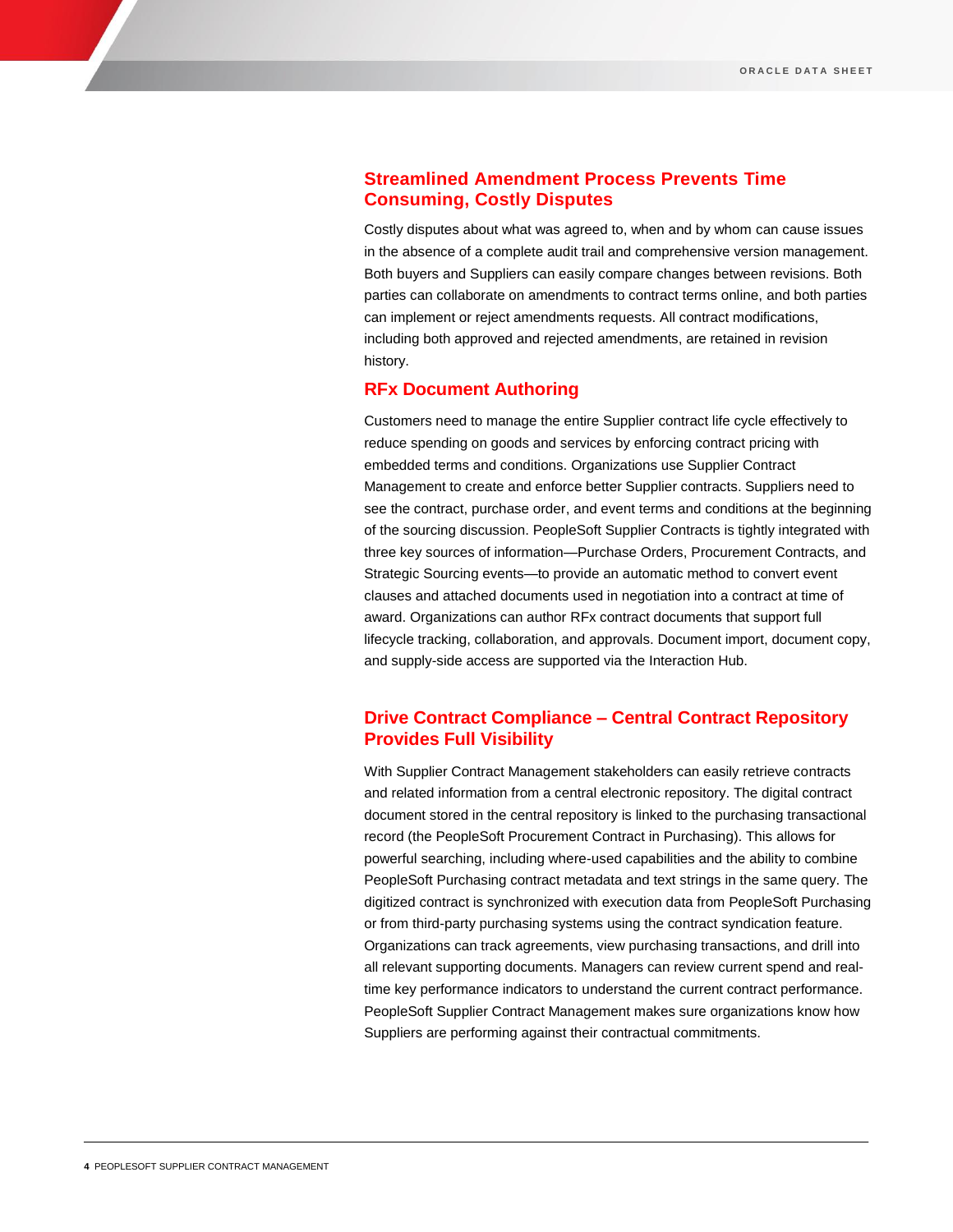## **Streamlined Amendment Process Prevents Time Consuming, Costly Disputes**

Costly disputes about what was agreed to, when and by whom can cause issues in the absence of a complete audit trail and comprehensive version management. Both buyers and Suppliers can easily compare changes between revisions. Both parties can collaborate on amendments to contract terms online, and both parties can implement or reject amendments requests. All contract modifications, including both approved and rejected amendments, are retained in revision history.

#### **RFx Document Authoring**

Customers need to manage the entire Supplier contract life cycle effectively to reduce spending on goods and services by enforcing contract pricing with embedded terms and conditions. Organizations use Supplier Contract Management to create and enforce better Supplier contracts. Suppliers need to see the contract, purchase order, and event terms and conditions at the beginning of the sourcing discussion. PeopleSoft Supplier Contracts is tightly integrated with three key sources of information—Purchase Orders, Procurement Contracts, and Strategic Sourcing events—to provide an automatic method to convert event clauses and attached documents used in negotiation into a contract at time of award. Organizations can author RFx contract documents that support full lifecycle tracking, collaboration, and approvals. Document import, document copy, and supply-side access are supported via the Interaction Hub.

# **Drive Contract Compliance – Central Contract Repository Provides Full Visibility**

With Supplier Contract Management stakeholders can easily retrieve contracts and related information from a central electronic repository. The digital contract document stored in the central repository is linked to the purchasing transactional record (the PeopleSoft Procurement Contract in Purchasing). This allows for powerful searching, including where-used capabilities and the ability to combine PeopleSoft Purchasing contract metadata and text strings in the same query. The digitized contract is synchronized with execution data from PeopleSoft Purchasing or from third-party purchasing systems using the contract syndication feature. Organizations can track agreements, view purchasing transactions, and drill into all relevant supporting documents. Managers can review current spend and realtime key performance indicators to understand the current contract performance. PeopleSoft Supplier Contract Management makes sure organizations know how Suppliers are performing against their contractual commitments.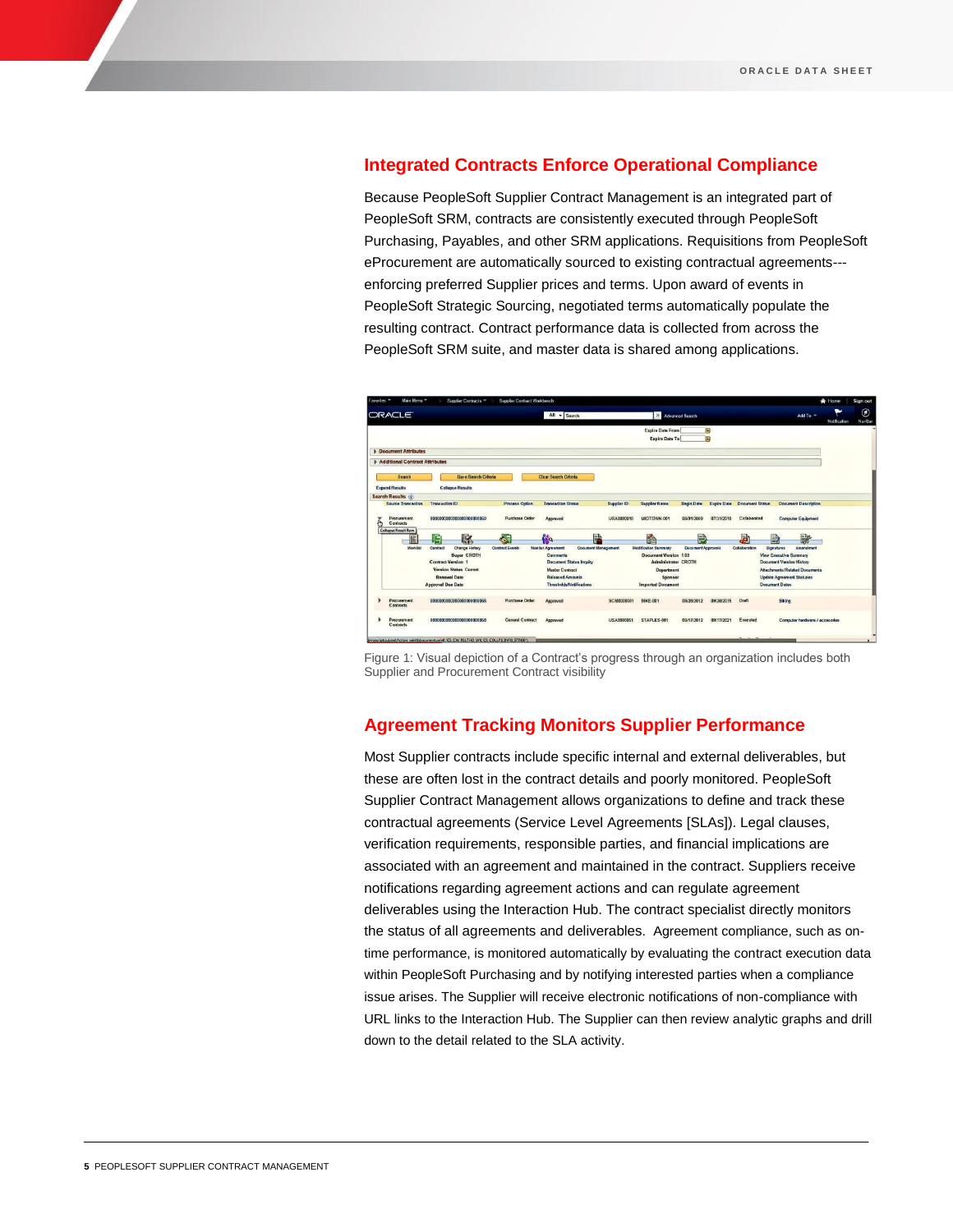## **Integrated Contracts Enforce Operational Compliance**

Because PeopleSoft Supplier Contract Management is an integrated part of PeopleSoft SRM, contracts are consistently executed through PeopleSoft Purchasing, Payables, and other SRM applications. Requisitions from PeopleSoft eProcurement are automatically sourced to existing contractual agreements-- enforcing preferred Supplier prices and terms. Upon award of events in PeopleSoft Strategic Sourcing, negotiated terms automatically populate the resulting contract. Contract performance data is collected from across the PeopleSoft SRM suite, and master data is shared among applications.



Figure 1: Visual depiction of a Contract's progress through an organization includes both Supplier and Procurement Contract visibility

#### **Agreement Tracking Monitors Supplier Performance**

Most Supplier contracts include specific internal and external deliverables, but these are often lost in the contract details and poorly monitored. PeopleSoft Supplier Contract Management allows organizations to define and track these contractual agreements (Service Level Agreements [SLAs]). Legal clauses, verification requirements, responsible parties, and financial implications are associated with an agreement and maintained in the contract. Suppliers receive notifications regarding agreement actions and can regulate agreement deliverables using the Interaction Hub. The contract specialist directly monitors the status of all agreements and deliverables. Agreement compliance, such as ontime performance, is monitored automatically by evaluating the contract execution data within PeopleSoft Purchasing and by notifying interested parties when a compliance issue arises. The Supplier will receive electronic notifications of non-compliance with URL links to the Interaction Hub. The Supplier can then review analytic graphs and drill down to the detail related to the SLA activity.